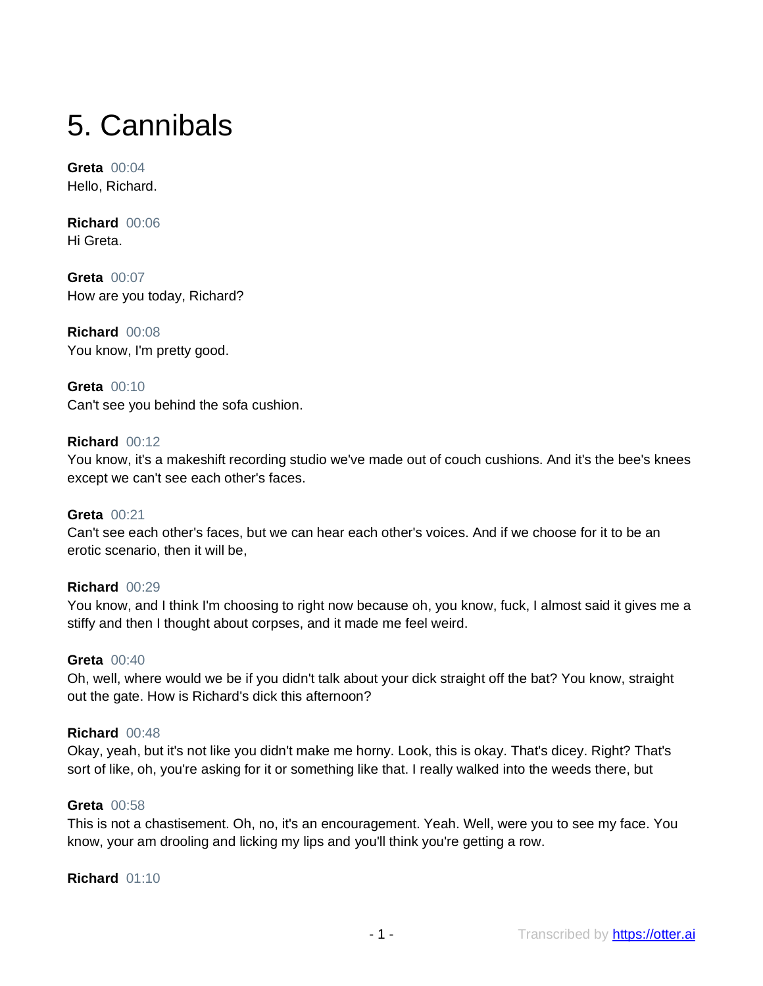# 5. Cannibals

**Greta** 00:04 Hello, Richard.

**Richard** 00:06 Hi Greta.

**Greta** 00:07 How are you today, Richard?

**Richard** 00:08 You know, I'm pretty good.

**Greta** 00:10 Can't see you behind the sofa cushion.

## **Richard** 00:12

You know, it's a makeshift recording studio we've made out of couch cushions. And it's the bee's knees except we can't see each other's faces.

**Greta** 00:21

Can't see each other's faces, but we can hear each other's voices. And if we choose for it to be an erotic scenario, then it will be,

## **Richard** 00:29

You know, and I think I'm choosing to right now because oh, you know, fuck, I almost said it gives me a stiffy and then I thought about corpses, and it made me feel weird.

#### **Greta** 00:40

Oh, well, where would we be if you didn't talk about your dick straight off the bat? You know, straight out the gate. How is Richard's dick this afternoon?

#### **Richard** 00:48

Okay, yeah, but it's not like you didn't make me horny. Look, this is okay. That's dicey. Right? That's sort of like, oh, you're asking for it or something like that. I really walked into the weeds there, but

#### **Greta** 00:58

This is not a chastisement. Oh, no, it's an encouragement. Yeah. Well, were you to see my face. You know, your am drooling and licking my lips and you'll think you're getting a row.

**Richard** 01:10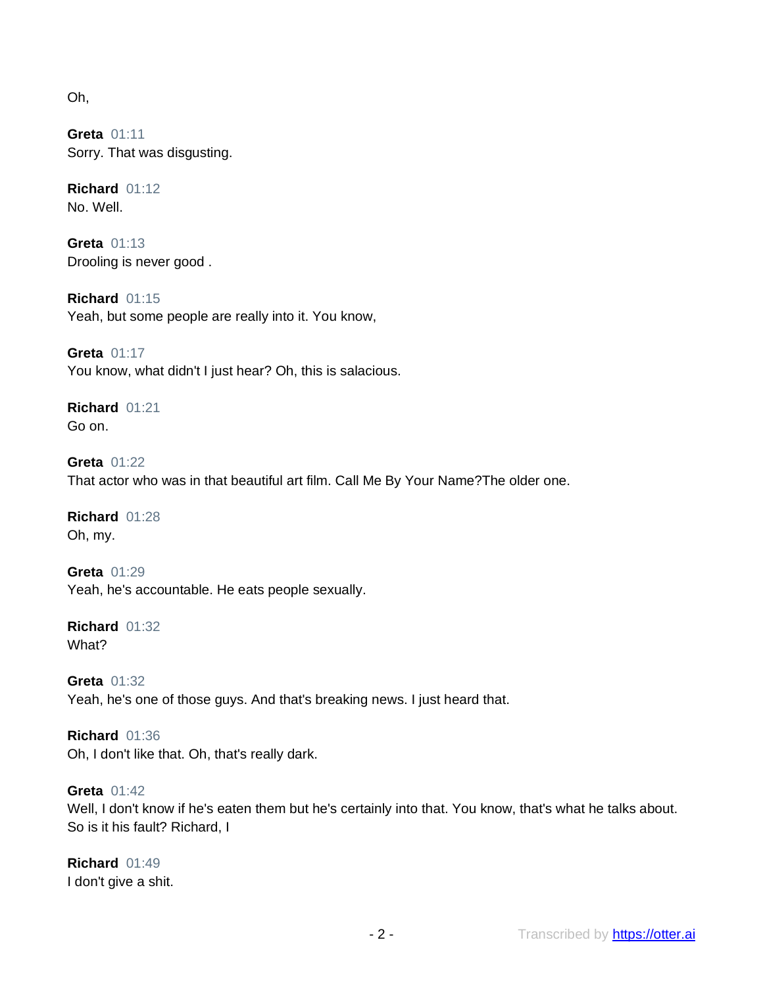Oh,

**Greta** 01:11 Sorry. That was disgusting.

**Richard** 01:12 No. Well.

**Greta** 01:13 Drooling is never good .

**Richard** 01:15 Yeah, but some people are really into it. You know,

**Greta** 01:17 You know, what didn't I just hear? Oh, this is salacious.

**Richard** 01:21 Go on.

**Greta** 01:22 That actor who was in that beautiful art film. Call Me By Your Name?The older one.

**Richard** 01:28 Oh, my.

**Greta** 01:29 Yeah, he's accountable. He eats people sexually.

**Richard** 01:32 What?

**Greta** 01:32 Yeah, he's one of those guys. And that's breaking news. I just heard that.

**Richard** 01:36 Oh, I don't like that. Oh, that's really dark.

## **Greta** 01:42

Well, I don't know if he's eaten them but he's certainly into that. You know, that's what he talks about. So is it his fault? Richard, I

**Richard** 01:49 I don't give a shit.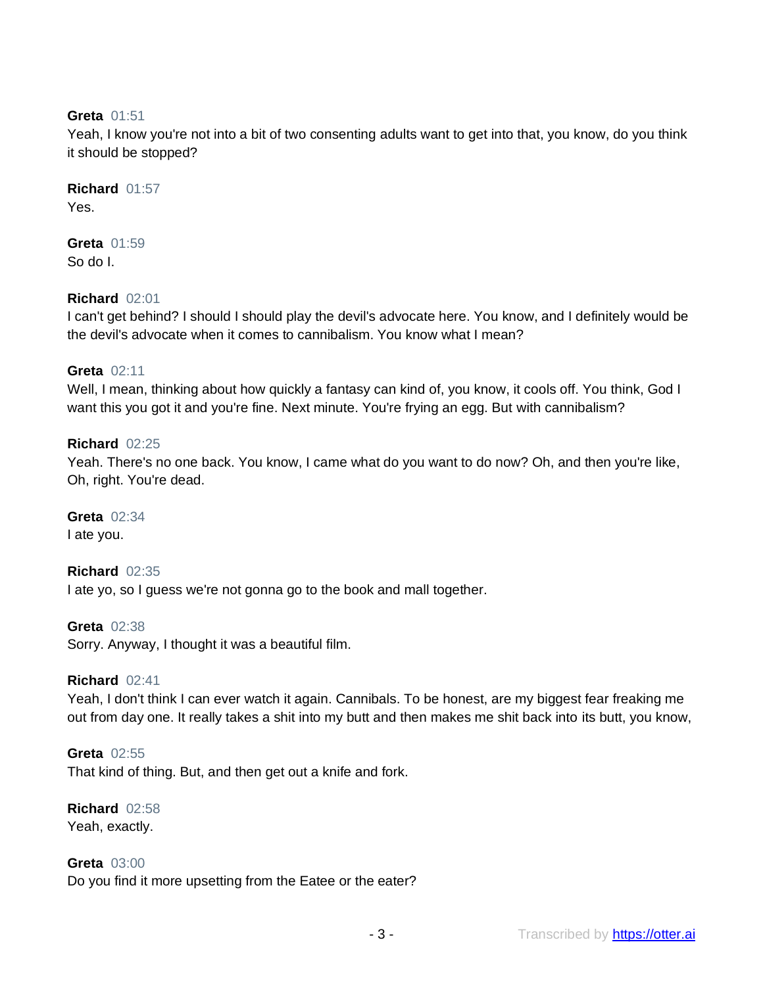## **Greta** 01:51

Yeah, I know you're not into a bit of two consenting adults want to get into that, you know, do you think it should be stopped?

**Richard** 01:57 Yes.

**Greta** 01:59 So do I.

## **Richard** 02:01

I can't get behind? I should I should play the devil's advocate here. You know, and I definitely would be the devil's advocate when it comes to cannibalism. You know what I mean?

## **Greta** 02:11

Well, I mean, thinking about how quickly a fantasy can kind of, you know, it cools off. You think, God I want this you got it and you're fine. Next minute. You're frying an egg. But with cannibalism?

#### **Richard** 02:25

Yeah. There's no one back. You know, I came what do you want to do now? Oh, and then you're like, Oh, right. You're dead.

**Greta** 02:34 I ate you.

**Richard** 02:35 I ate yo, so I guess we're not gonna go to the book and mall together.

**Greta** 02:38 Sorry. Anyway, I thought it was a beautiful film.

#### **Richard** 02:41

Yeah, I don't think I can ever watch it again. Cannibals. To be honest, are my biggest fear freaking me out from day one. It really takes a shit into my butt and then makes me shit back into its butt, you know,

**Greta** 02:55 That kind of thing. But, and then get out a knife and fork.

**Richard** 02:58 Yeah, exactly.

**Greta** 03:00 Do you find it more upsetting from the Eatee or the eater?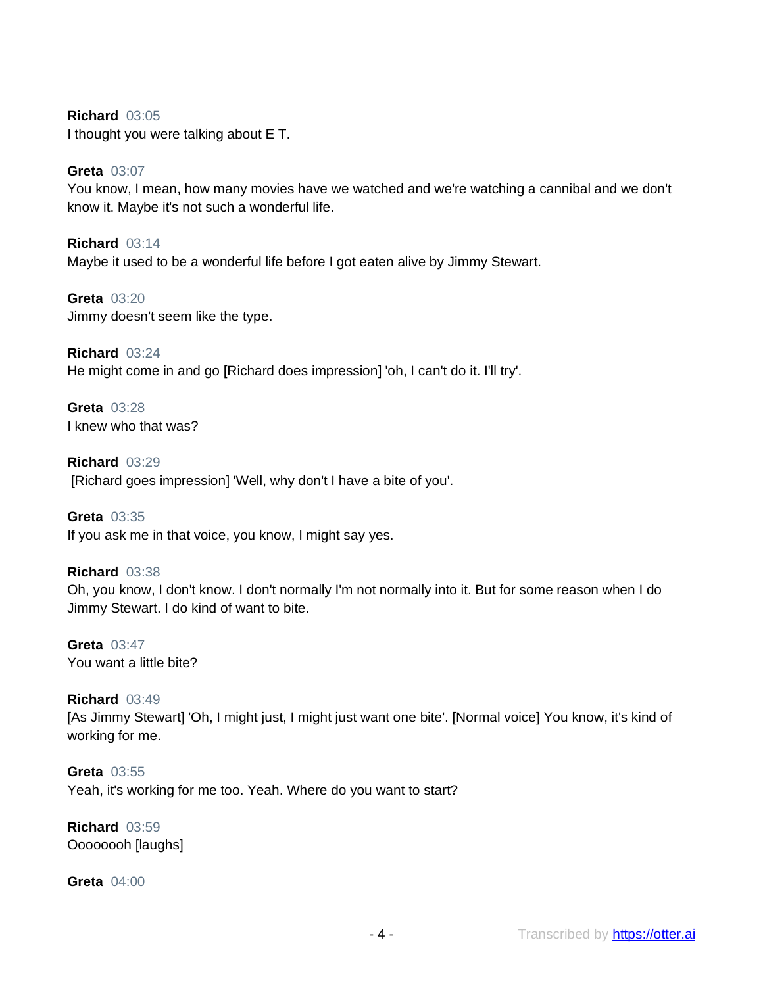**Richard** 03:05 I thought you were talking about E T.

## **Greta** 03:07

You know, I mean, how many movies have we watched and we're watching a cannibal and we don't know it. Maybe it's not such a wonderful life.

**Richard** 03:14 Maybe it used to be a wonderful life before I got eaten alive by Jimmy Stewart.

**Greta** 03:20 Jimmy doesn't seem like the type.

**Richard** 03:24 He might come in and go [Richard does impression] 'oh, I can't do it. I'll try'.

**Greta** 03:28 I knew who that was?

**Richard** 03:29 [Richard goes impression] 'Well, why don't I have a bite of you'.

**Greta** 03:35 If you ask me in that voice, you know, I might say yes.

## **Richard** 03:38

Oh, you know, I don't know. I don't normally I'm not normally into it. But for some reason when I do Jimmy Stewart. I do kind of want to bite.

**Greta** 03:47 You want a little bite?

## **Richard** 03:49

[As Jimmy Stewart] 'Oh, I might just, I might just want one bite'. [Normal voice] You know, it's kind of working for me.

**Greta** 03:55 Yeah, it's working for me too. Yeah. Where do you want to start?

**Richard** 03:59 Oooooooh [laughs]

**Greta** 04:00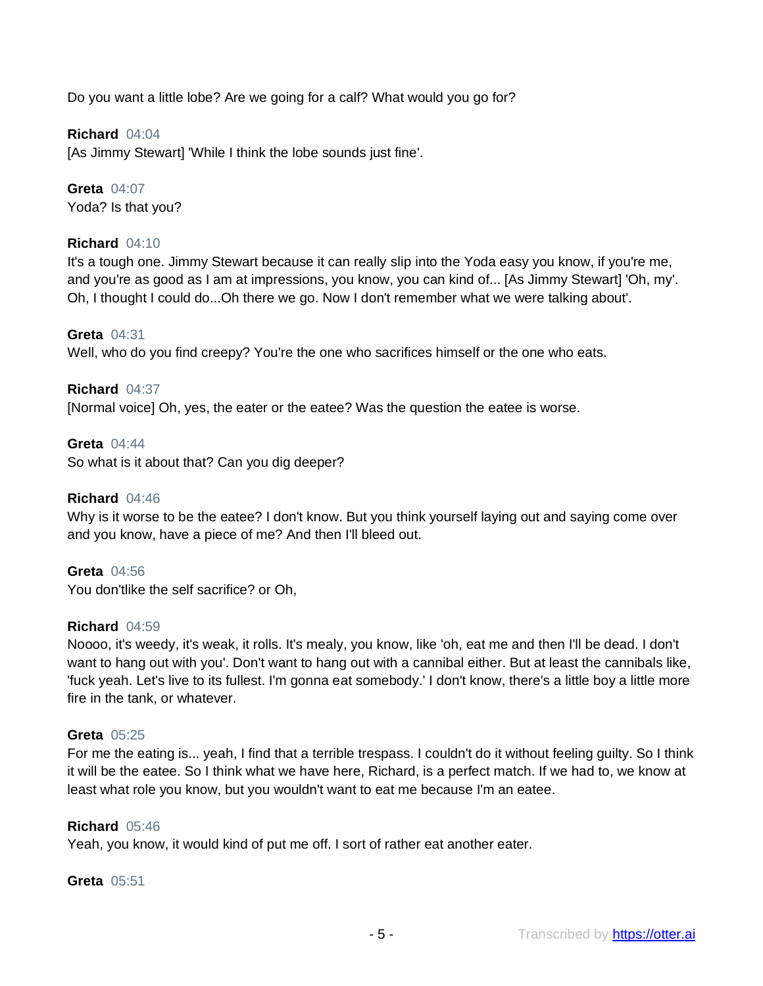Do you want a little lobe? Are we going for a calf? What would you go for?

**Richard** 04:04 [As Jimmy Stewart] 'While I think the lobe sounds just fine'.

**Greta** 04:07 Yoda? Is that you?

## **Richard** 04:10

It's a tough one. Jimmy Stewart because it can really slip into the Yoda easy you know, if you're me, and you're as good as I am at impressions, you know, you can kind of... [As Jimmy Stewart] 'Oh, my'. Oh, I thought I could do...Oh there we go. Now I don't remember what we were talking about'.

**Greta** 04:31 Well, who do you find creepy? You're the one who sacrifices himself or the one who eats.

**Richard** 04:37 [Normal voice] Oh, yes, the eater or the eatee? Was the question the eatee is worse.

**Greta** 04:44 So what is it about that? Can you dig deeper?

## **Richard** 04:46

Why is it worse to be the eatee? I don't know. But you think yourself laying out and saying come over and you know, have a piece of me? And then I'll bleed out.

**Greta** 04:56 You don'tlike the self sacrifice? or Oh,

#### **Richard** 04:59

Noooo, it's weedy, it's weak, it rolls. It's mealy, you know, like 'oh, eat me and then I'll be dead. I don't want to hang out with you'. Don't want to hang out with a cannibal either. But at least the cannibals like, 'fuck yeah. Let's live to its fullest. I'm gonna eat somebody.' I don't know, there's a little boy a little more fire in the tank, or whatever.

#### **Greta** 05:25

For me the eating is... yeah, I find that a terrible trespass. I couldn't do it without feeling guilty. So I think it will be the eatee. So I think what we have here, Richard, is a perfect match. If we had to, we know at least what role you know, but you wouldn't want to eat me because I'm an eatee.

#### **Richard** 05:46

Yeah, you know, it would kind of put me off. I sort of rather eat another eater.

#### **Greta** 05:51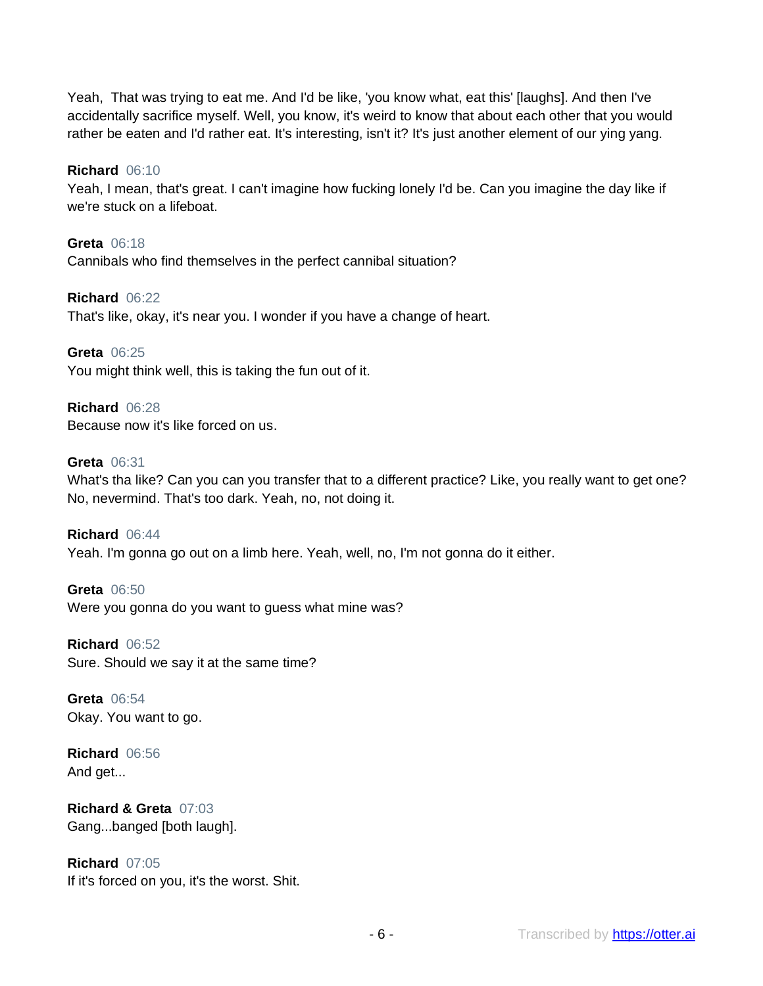Yeah, That was trying to eat me. And I'd be like, 'you know what, eat this' [laughs]. And then I've accidentally sacrifice myself. Well, you know, it's weird to know that about each other that you would rather be eaten and I'd rather eat. It's interesting, isn't it? It's just another element of our ying yang.

#### **Richard** 06:10

Yeah, I mean, that's great. I can't imagine how fucking lonely I'd be. Can you imagine the day like if we're stuck on a lifeboat.

**Greta** 06:18 Cannibals who find themselves in the perfect cannibal situation?

**Richard** 06:22 That's like, okay, it's near you. I wonder if you have a change of heart.

**Greta** 06:25 You might think well, this is taking the fun out of it.

**Richard** 06:28 Because now it's like forced on us.

#### **Greta** 06:31

What's tha like? Can you can you transfer that to a different practice? Like, you really want to get one? No, nevermind. That's too dark. Yeah, no, not doing it.

## **Richard** 06:44

Yeah. I'm gonna go out on a limb here. Yeah, well, no, I'm not gonna do it either.

**Greta** 06:50 Were you gonna do you want to guess what mine was?

**Richard** 06:52 Sure. Should we say it at the same time?

**Greta** 06:54 Okay. You want to go.

**Richard** 06:56 And get...

**Richard & Greta** 07:03 Gang...banged [both laugh].

**Richard** 07:05 If it's forced on you, it's the worst. Shit.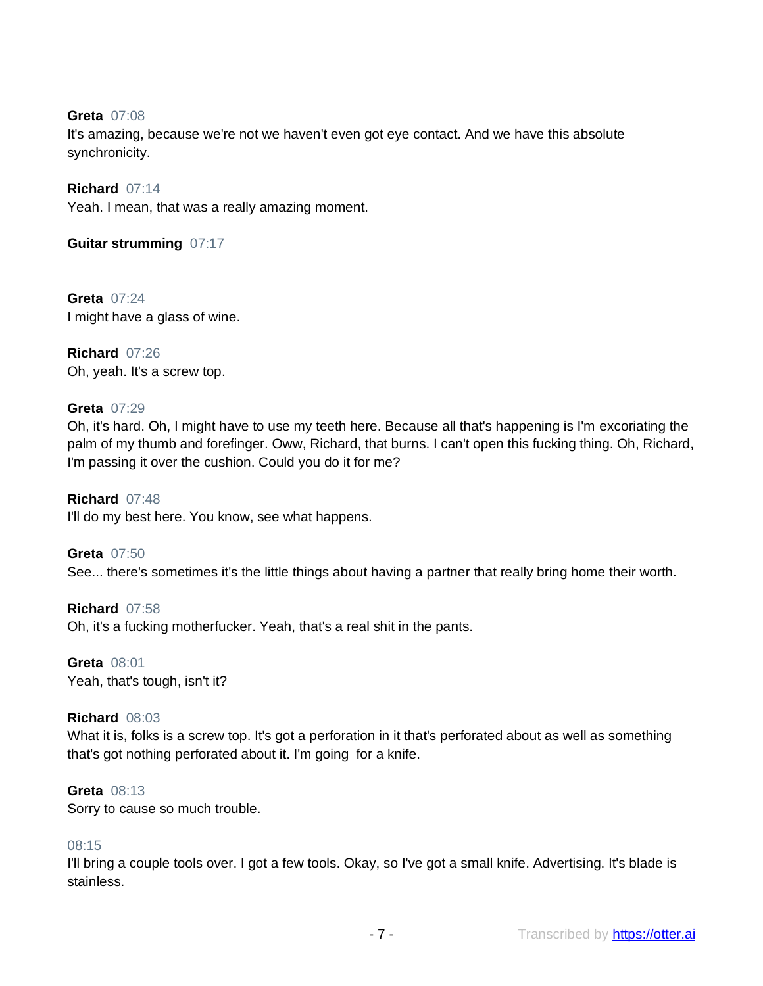## **Greta** 07:08

It's amazing, because we're not we haven't even got eye contact. And we have this absolute synchronicity.

## **Richard** 07:14

Yeah. I mean, that was a really amazing moment.

## **Guitar strumming** 07:17

**Greta** 07:24 I might have a glass of wine.

**Richard** 07:26 Oh, yeah. It's a screw top.

### **Greta** 07:29

Oh, it's hard. Oh, I might have to use my teeth here. Because all that's happening is I'm excoriating the palm of my thumb and forefinger. Oww, Richard, that burns. I can't open this fucking thing. Oh, Richard, I'm passing it over the cushion. Could you do it for me?

**Richard** 07:48 I'll do my best here. You know, see what happens.

**Greta** 07:50 See... there's sometimes it's the little things about having a partner that really bring home their worth.

**Richard** 07:58 Oh, it's a fucking motherfucker. Yeah, that's a real shit in the pants.

**Greta** 08:01 Yeah, that's tough, isn't it?

## **Richard** 08:03

What it is, folks is a screw top. It's got a perforation in it that's perforated about as well as something that's got nothing perforated about it. I'm going for a knife.

## **Greta** 08:13

Sorry to cause so much trouble.

### 08:15

I'll bring a couple tools over. I got a few tools. Okay, so I've got a small knife. Advertising. It's blade is stainless.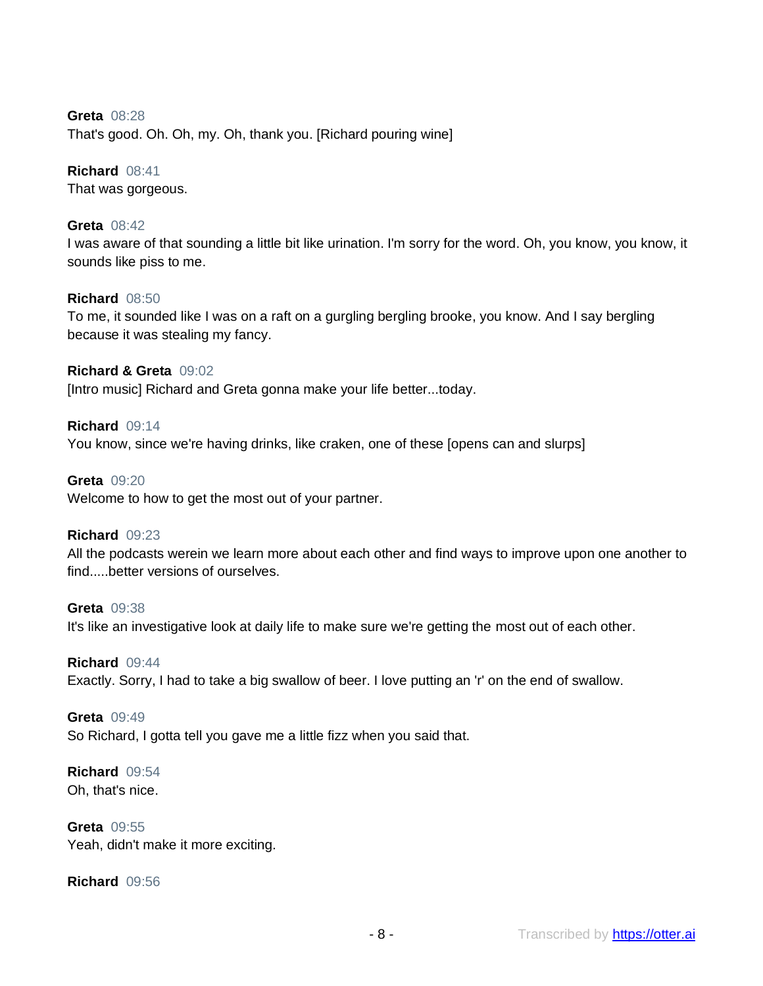#### **Greta** 08:28

That's good. Oh. Oh, my. Oh, thank you. [Richard pouring wine]

#### **Richard** 08:41

That was gorgeous.

## **Greta** 08:42

I was aware of that sounding a little bit like urination. I'm sorry for the word. Oh, you know, you know, it sounds like piss to me.

#### **Richard** 08:50

To me, it sounded like I was on a raft on a gurgling bergling brooke, you know. And I say bergling because it was stealing my fancy.

**Richard & Greta** 09:02 [Intro music] Richard and Greta gonna make your life better...today.

**Richard** 09:14 You know, since we're having drinks, like craken, one of these [opens can and slurps]

**Greta** 09:20 Welcome to how to get the most out of your partner.

#### **Richard** 09:23

All the podcasts werein we learn more about each other and find ways to improve upon one another to find.....better versions of ourselves.

**Greta** 09:38 It's like an investigative look at daily life to make sure we're getting the most out of each other.

**Richard** 09:44 Exactly. Sorry, I had to take a big swallow of beer. I love putting an 'r' on the end of swallow.

#### **Greta** 09:49

So Richard, I gotta tell you gave me a little fizz when you said that.

#### **Richard** 09:54 Oh, that's nice.

**Greta** 09:55 Yeah, didn't make it more exciting.

**Richard** 09:56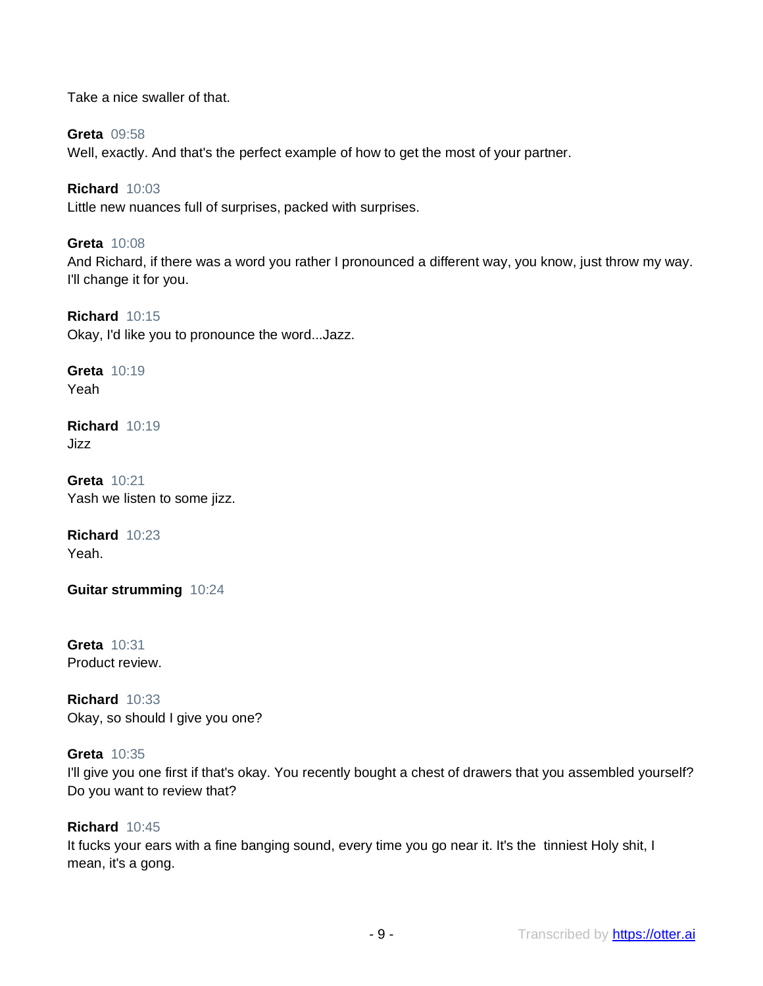Take a nice swaller of that.

**Greta** 09:58 Well, exactly. And that's the perfect example of how to get the most of your partner.

**Richard** 10:03 Little new nuances full of surprises, packed with surprises.

**Greta** 10:08 And Richard, if there was a word you rather I pronounced a different way, you know, just throw my way. I'll change it for you.

**Richard** 10:15 Okay, I'd like you to pronounce the word...Jazz.

**Greta** 10:19 Yeah

**Richard** 10:19 Jizz

**Greta** 10:21 Yash we listen to some jizz.

**Richard** 10:23 Yeah.

**Guitar strumming** 10:24

**Greta** 10:31 Product review.

**Richard** 10:33 Okay, so should I give you one?

**Greta** 10:35 I'll give you one first if that's okay. You recently bought a chest of drawers that you assembled yourself? Do you want to review that?

## **Richard** 10:45

It fucks your ears with a fine banging sound, every time you go near it. It's the tinniest Holy shit, I mean, it's a gong.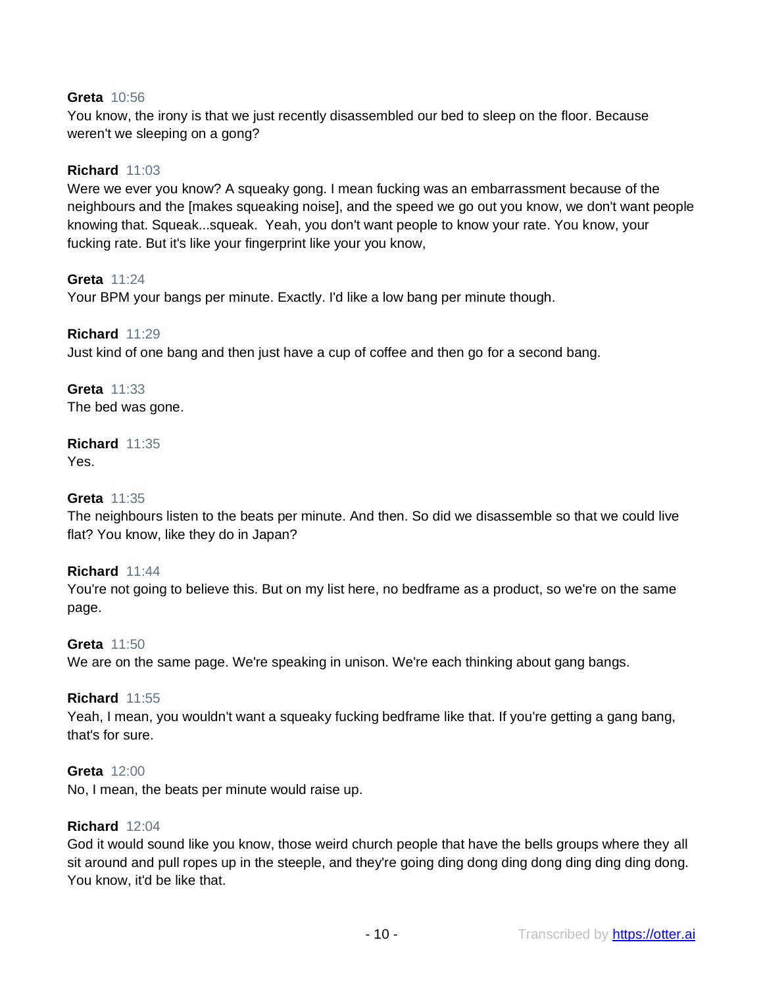#### **Greta** 10:56

You know, the irony is that we just recently disassembled our bed to sleep on the floor. Because weren't we sleeping on a gong?

## **Richard** 11:03

Were we ever you know? A squeaky gong. I mean fucking was an embarrassment because of the neighbours and the [makes squeaking noise], and the speed we go out you know, we don't want people knowing that. Squeak...squeak. Yeah, you don't want people to know your rate. You know, your fucking rate. But it's like your fingerprint like your you know,

#### **Greta** 11:24

Your BPM your bangs per minute. Exactly. I'd like a low bang per minute though.

#### **Richard** 11:29

Just kind of one bang and then just have a cup of coffee and then go for a second bang.

**Greta** 11:33 The bed was gone.

## **Richard** 11:35

Yes.

## **Greta** 11:35

The neighbours listen to the beats per minute. And then. So did we disassemble so that we could live flat? You know, like they do in Japan?

## **Richard** 11:44

You're not going to believe this. But on my list here, no bedframe as a product, so we're on the same page.

#### **Greta** 11:50

We are on the same page. We're speaking in unison. We're each thinking about gang bangs.

## **Richard** 11:55

Yeah, I mean, you wouldn't want a squeaky fucking bedframe like that. If you're getting a gang bang, that's for sure.

#### **Greta** 12:00

No, I mean, the beats per minute would raise up.

#### **Richard** 12:04

God it would sound like you know, those weird church people that have the bells groups where they all sit around and pull ropes up in the steeple, and they're going ding dong ding dong ding ding ding dong. You know, it'd be like that.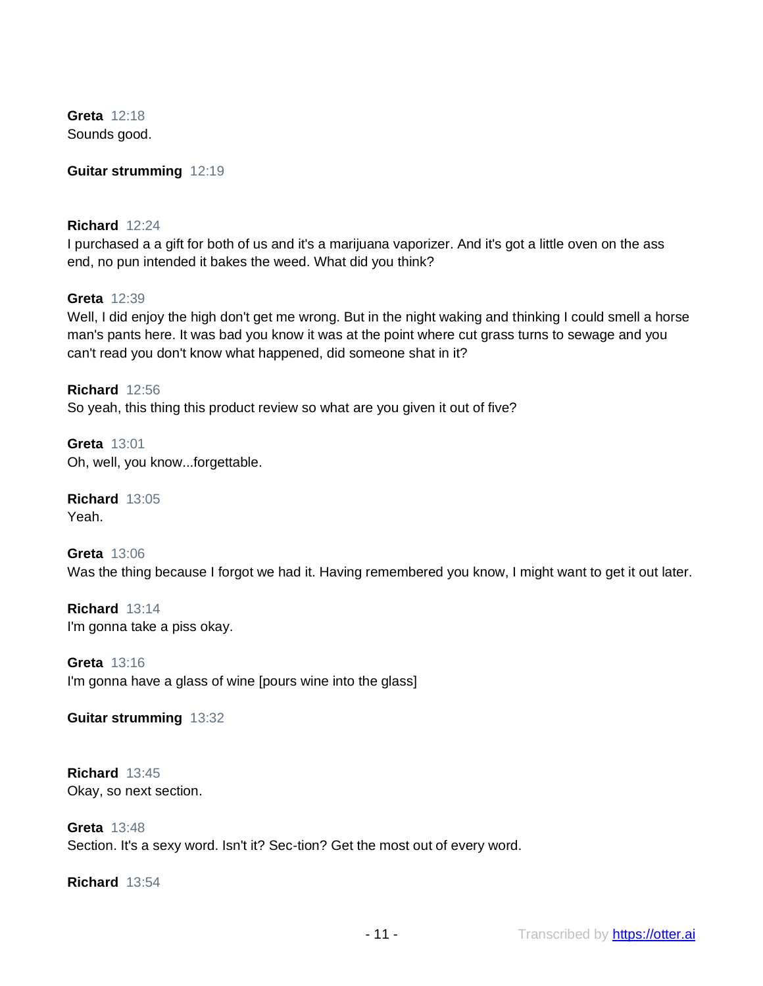**Greta** 12:18 Sounds good.

**Guitar strumming** 12:19

## **Richard** 12:24

I purchased a a gift for both of us and it's a marijuana vaporizer. And it's got a little oven on the ass end, no pun intended it bakes the weed. What did you think?

#### **Greta** 12:39

Well, I did enjoy the high don't get me wrong. But in the night waking and thinking I could smell a horse man's pants here. It was bad you know it was at the point where cut grass turns to sewage and you can't read you don't know what happened, did someone shat in it?

**Richard** 12:56 So yeah, this thing this product review so what are you given it out of five?

**Greta** 13:01 Oh, well, you know...forgettable.

**Richard** 13:05 Yeah.

**Greta** 13:06 Was the thing because I forgot we had it. Having remembered you know, I might want to get it out later.

**Richard** 13:14 I'm gonna take a piss okay.

**Greta** 13:16 I'm gonna have a glass of wine [pours wine into the glass]

**Guitar strumming** 13:32

**Richard** 13:45 Okay, so next section.

**Greta** 13:48 Section. It's a sexy word. Isn't it? Sec-tion? Get the most out of every word.

**Richard** 13:54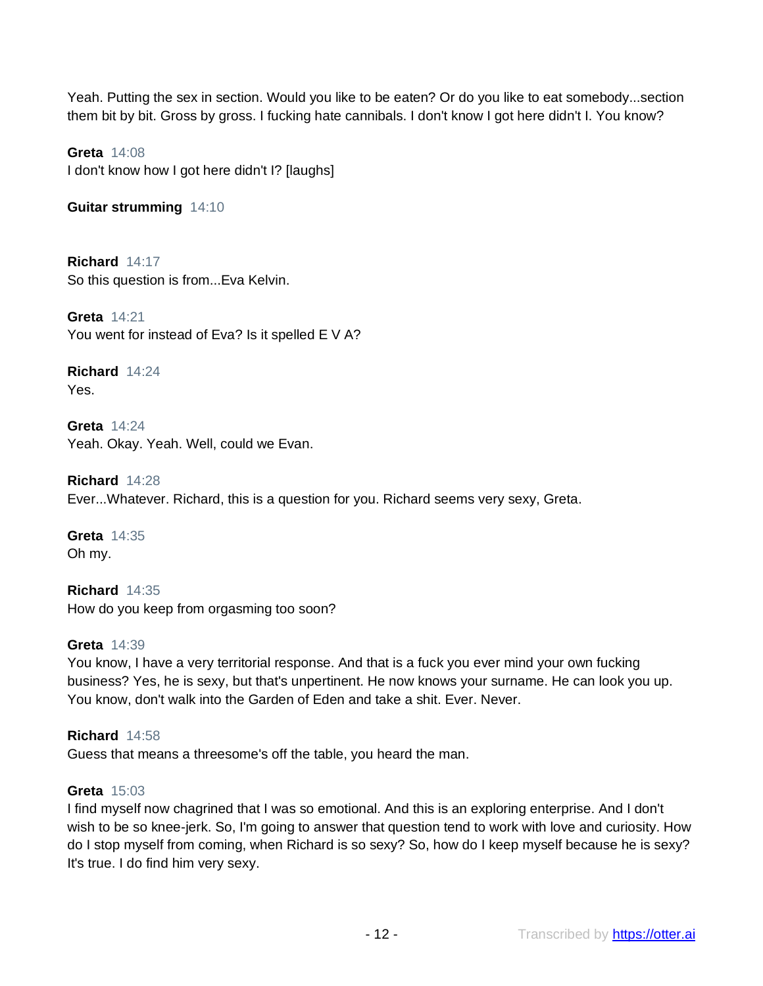Yeah. Putting the sex in section. Would you like to be eaten? Or do you like to eat somebody...section them bit by bit. Gross by gross. I fucking hate cannibals. I don't know I got here didn't I. You know?

**Greta** 14:08 I don't know how I got here didn't I? [laughs]

**Guitar strumming** 14:10

**Richard** 14:17 So this question is from...Eva Kelvin.

**Greta** 14:21 You went for instead of Eva? Is it spelled E V A?

**Richard** 14:24 Yes.

**Greta** 14:24 Yeah. Okay. Yeah. Well, could we Evan.

**Richard** 14:28 Ever...Whatever. Richard, this is a question for you. Richard seems very sexy, Greta.

**Greta** 14:35 Oh my.

**Richard** 14:35 How do you keep from orgasming too soon?

## **Greta** 14:39

You know, I have a very territorial response. And that is a fuck you ever mind your own fucking business? Yes, he is sexy, but that's unpertinent. He now knows your surname. He can look you up. You know, don't walk into the Garden of Eden and take a shit. Ever. Never.

**Richard** 14:58 Guess that means a threesome's off the table, you heard the man.

## **Greta** 15:03

I find myself now chagrined that I was so emotional. And this is an exploring enterprise. And I don't wish to be so knee-jerk. So, I'm going to answer that question tend to work with love and curiosity. How do I stop myself from coming, when Richard is so sexy? So, how do I keep myself because he is sexy? It's true. I do find him very sexy.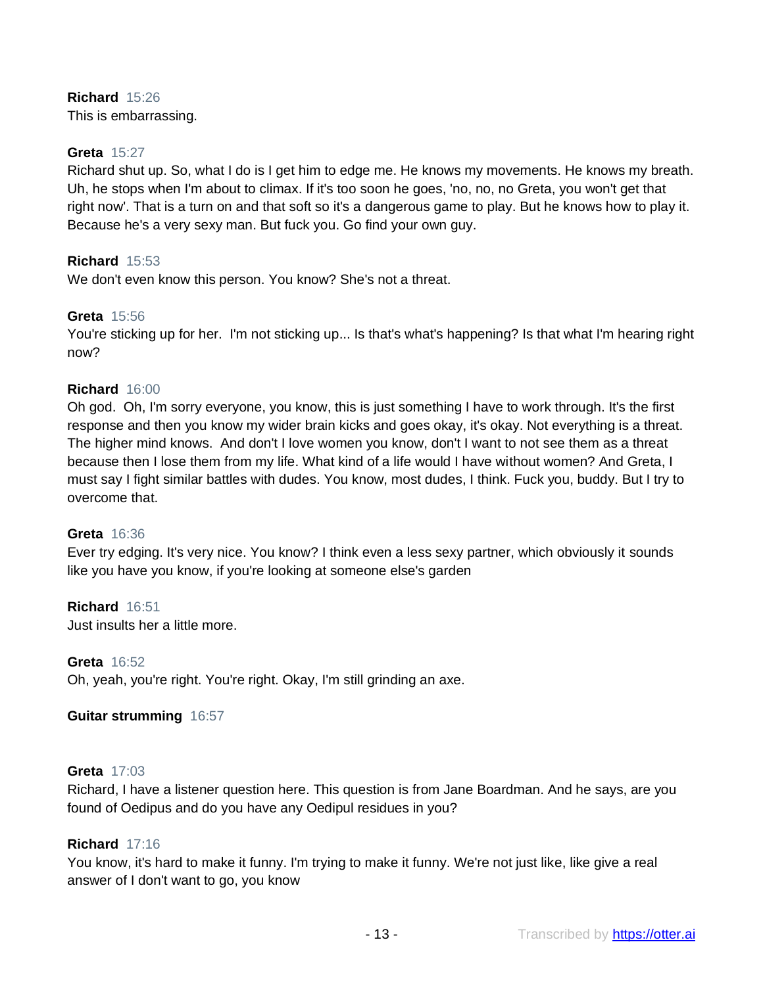## **Richard** 15:26

This is embarrassing.

## **Greta** 15:27

Richard shut up. So, what I do is I get him to edge me. He knows my movements. He knows my breath. Uh, he stops when I'm about to climax. If it's too soon he goes, 'no, no, no Greta, you won't get that right now'. That is a turn on and that soft so it's a dangerous game to play. But he knows how to play it. Because he's a very sexy man. But fuck you. Go find your own guy.

## **Richard** 15:53

We don't even know this person. You know? She's not a threat.

## **Greta** 15:56

You're sticking up for her. I'm not sticking up... Is that's what's happening? Is that what I'm hearing right now?

## **Richard** 16:00

Oh god. Oh, I'm sorry everyone, you know, this is just something I have to work through. It's the first response and then you know my wider brain kicks and goes okay, it's okay. Not everything is a threat. The higher mind knows. And don't I love women you know, don't I want to not see them as a threat because then I lose them from my life. What kind of a life would I have without women? And Greta, I must say I fight similar battles with dudes. You know, most dudes, I think. Fuck you, buddy. But I try to overcome that.

## **Greta** 16:36

Ever try edging. It's very nice. You know? I think even a less sexy partner, which obviously it sounds like you have you know, if you're looking at someone else's garden

## **Richard** 16:51

Just insults her a little more.

## **Greta** 16:52

Oh, yeah, you're right. You're right. Okay, I'm still grinding an axe.

## **Guitar strumming** 16:57

#### **Greta** 17:03

Richard, I have a listener question here. This question is from Jane Boardman. And he says, are you found of Oedipus and do you have any Oedipul residues in you?

## **Richard** 17:16

You know, it's hard to make it funny. I'm trying to make it funny. We're not just like, like give a real answer of I don't want to go, you know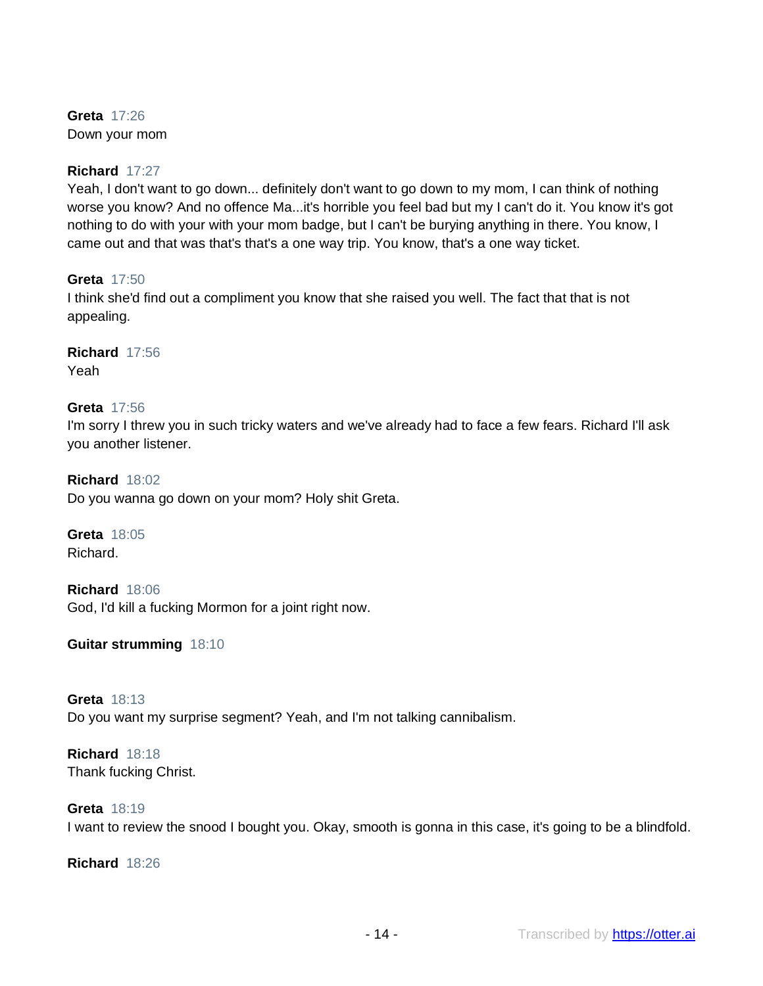**Greta** 17:26 Down your mom

## **Richard** 17:27

Yeah, I don't want to go down... definitely don't want to go down to my mom, I can think of nothing worse you know? And no offence Ma...it's horrible you feel bad but my I can't do it. You know it's got nothing to do with your with your mom badge, but I can't be burying anything in there. You know, I came out and that was that's that's a one way trip. You know, that's a one way ticket.

## **Greta** 17:50

I think she'd find out a compliment you know that she raised you well. The fact that that is not appealing.

**Richard** 17:56 Yeah

## **Greta** 17:56

I'm sorry I threw you in such tricky waters and we've already had to face a few fears. Richard I'll ask you another listener.

**Richard** 18:02 Do you wanna go down on your mom? Holy shit Greta.

**Greta** 18:05 Richard.

**Richard** 18:06 God, I'd kill a fucking Mormon for a joint right now.

**Guitar strumming** 18:10

**Greta** 18:13 Do you want my surprise segment? Yeah, and I'm not talking cannibalism.

**Richard** 18:18 Thank fucking Christ.

## **Greta** 18:19

I want to review the snood I bought you. Okay, smooth is gonna in this case, it's going to be a blindfold.

**Richard** 18:26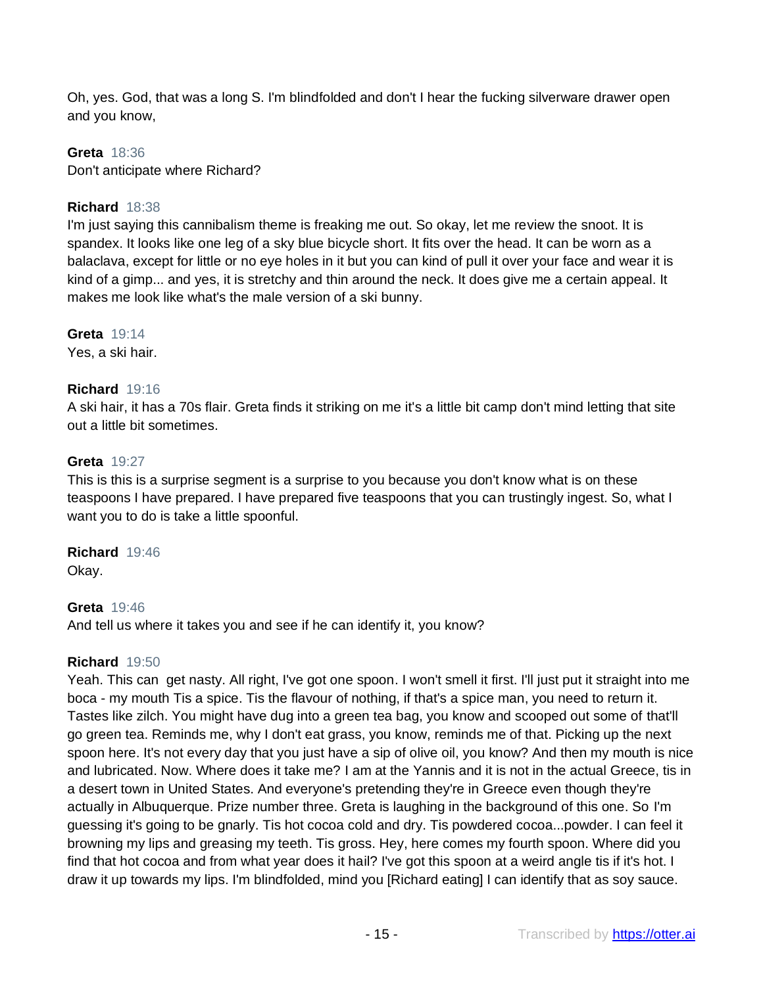Oh, yes. God, that was a long S. I'm blindfolded and don't I hear the fucking silverware drawer open and you know,

## **Greta** 18:36

Don't anticipate where Richard?

## **Richard** 18:38

I'm just saying this cannibalism theme is freaking me out. So okay, let me review the snoot. It is spandex. It looks like one leg of a sky blue bicycle short. It fits over the head. It can be worn as a balaclava, except for little or no eye holes in it but you can kind of pull it over your face and wear it is kind of a gimp... and yes, it is stretchy and thin around the neck. It does give me a certain appeal. It makes me look like what's the male version of a ski bunny.

**Greta** 19:14

Yes, a ski hair.

## **Richard** 19:16

A ski hair, it has a 70s flair. Greta finds it striking on me it's a little bit camp don't mind letting that site out a little bit sometimes.

## **Greta** 19:27

This is this is a surprise segment is a surprise to you because you don't know what is on these teaspoons I have prepared. I have prepared five teaspoons that you can trustingly ingest. So, what I want you to do is take a little spoonful.

## **Richard** 19:46

Okay.

## **Greta** 19:46

And tell us where it takes you and see if he can identify it, you know?

## **Richard** 19:50

Yeah. This can get nasty. All right, I've got one spoon. I won't smell it first. I'll just put it straight into me boca - my mouth Tis a spice. Tis the flavour of nothing, if that's a spice man, you need to return it. Tastes like zilch. You might have dug into a green tea bag, you know and scooped out some of that'll go green tea. Reminds me, why I don't eat grass, you know, reminds me of that. Picking up the next spoon here. It's not every day that you just have a sip of olive oil, you know? And then my mouth is nice and lubricated. Now. Where does it take me? I am at the Yannis and it is not in the actual Greece, tis in a desert town in United States. And everyone's pretending they're in Greece even though they're actually in Albuquerque. Prize number three. Greta is laughing in the background of this one. So I'm guessing it's going to be gnarly. Tis hot cocoa cold and dry. Tis powdered cocoa...powder. I can feel it browning my lips and greasing my teeth. Tis gross. Hey, here comes my fourth spoon. Where did you find that hot cocoa and from what year does it hail? I've got this spoon at a weird angle tis if it's hot. I draw it up towards my lips. I'm blindfolded, mind you [Richard eating] I can identify that as soy sauce.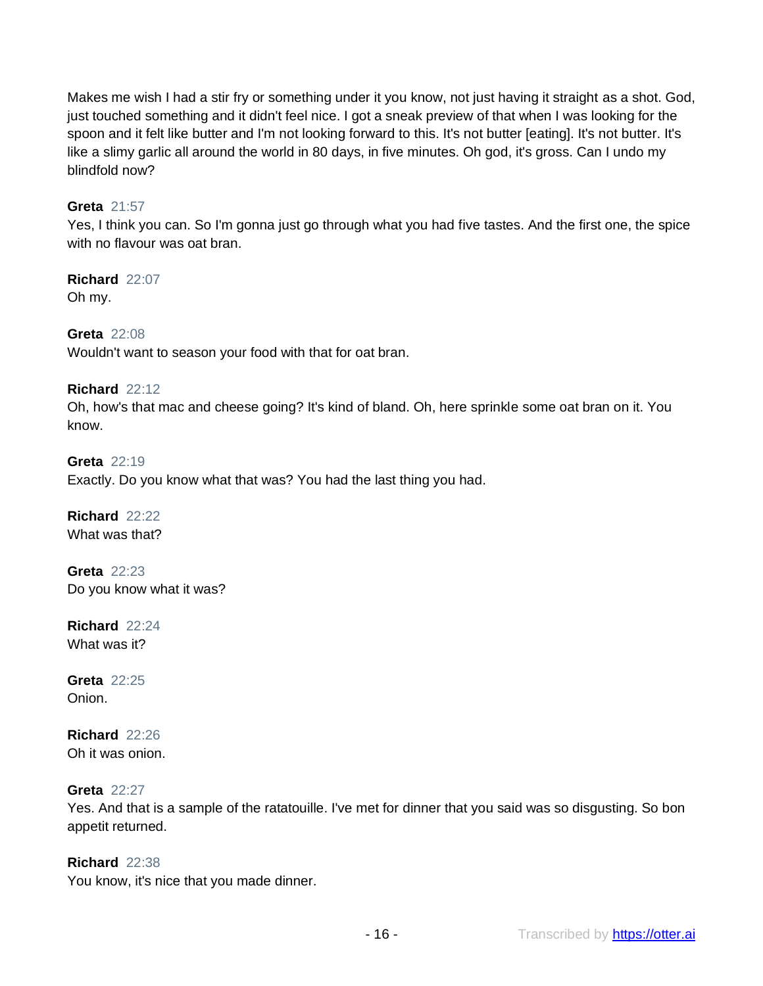Makes me wish I had a stir fry or something under it you know, not just having it straight as a shot. God, just touched something and it didn't feel nice. I got a sneak preview of that when I was looking for the spoon and it felt like butter and I'm not looking forward to this. It's not butter [eating]. It's not butter. It's like a slimy garlic all around the world in 80 days, in five minutes. Oh god, it's gross. Can I undo my blindfold now?

## **Greta** 21:57

Yes, I think you can. So I'm gonna just go through what you had five tastes. And the first one, the spice with no flavour was oat bran.

**Richard** 22:07 Oh my.

**Greta** 22:08 Wouldn't want to season your food with that for oat bran.

#### **Richard** 22:12

Oh, how's that mac and cheese going? It's kind of bland. Oh, here sprinkle some oat bran on it. You know.

**Greta** 22:19 Exactly. Do you know what that was? You had the last thing you had.

**Richard** 22:22 What was that?

**Greta** 22:23 Do you know what it was?

**Richard** 22:24 What was it?

**Greta** 22:25 Onion.

**Richard** 22:26 Oh it was onion.

#### **Greta** 22:27

Yes. And that is a sample of the ratatouille. I've met for dinner that you said was so disgusting. So bon appetit returned.

## **Richard** 22:38

You know, it's nice that you made dinner.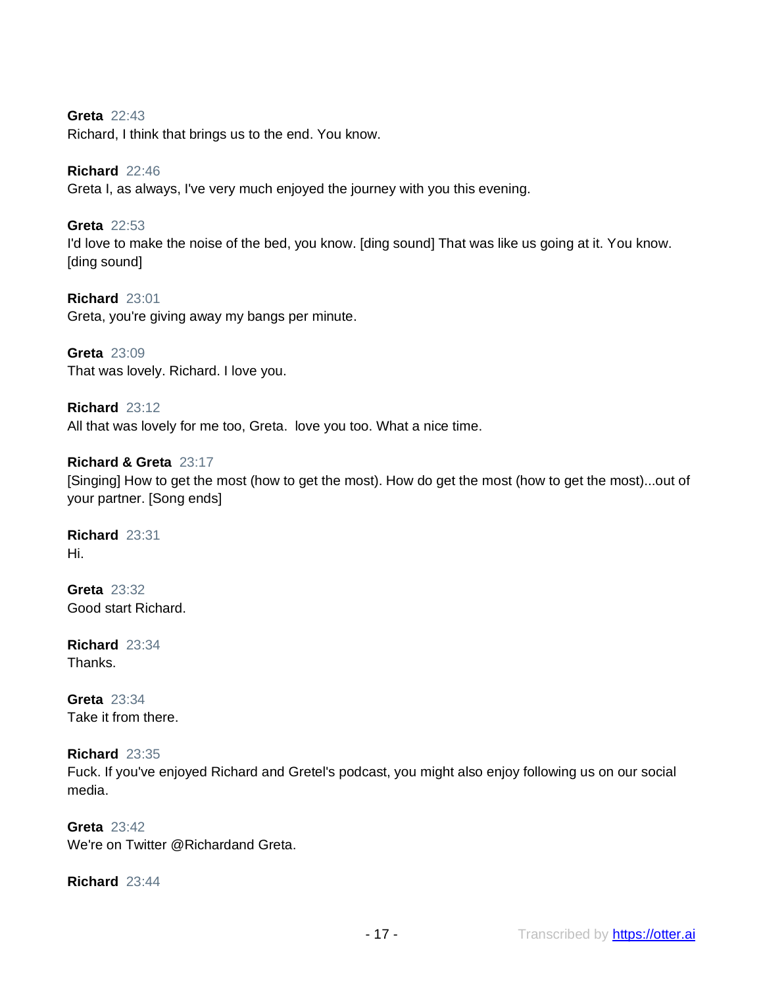#### **Greta** 22:43

Richard, I think that brings us to the end. You know.

## **Richard** 22:46

Greta I, as always, I've very much enjoyed the journey with you this evening.

## **Greta** 22:53

I'd love to make the noise of the bed, you know. [ding sound] That was like us going at it. You know. [ding sound]

**Richard** 23:01 Greta, you're giving away my bangs per minute.

**Greta** 23:09 That was lovely. Richard. I love you.

**Richard** 23:12 All that was lovely for me too, Greta. love you too. What a nice time.

## **Richard & Greta** 23:17

[Singing] How to get the most (how to get the most). How do get the most (how to get the most)...out of your partner. [Song ends]

**Richard** 23:31 Hi.

**Greta** 23:32 Good start Richard.

**Richard** 23:34 Thanks.

**Greta** 23:34 Take it from there.

**Richard** 23:35 Fuck. If you've enjoyed Richard and Gretel's podcast, you might also enjoy following us on our social media.

**Greta** 23:42 We're on Twitter @Richardand Greta.

**Richard** 23:44